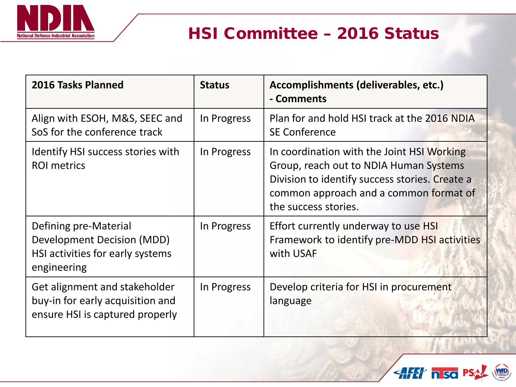

# HSI Committee – 2016 Status

| 2016 Tasks Planned                                                                                     | <b>Status</b> | Accomplishments (deliverables, etc.)<br>- Comments                                                                                                                                                       |
|--------------------------------------------------------------------------------------------------------|---------------|----------------------------------------------------------------------------------------------------------------------------------------------------------------------------------------------------------|
| Align with ESOH, M&S, SEEC and<br>SoS for the conference track                                         | In Progress   | Plan for and hold HSI track at the 2016 NDIA<br><b>SE Conference</b>                                                                                                                                     |
| Identify HSI success stories with<br><b>ROI</b> metrics                                                | In Progress   | In coordination with the Joint HSI Working<br>Group, reach out to NDIA Human Systems<br>Division to identify success stories. Create a<br>common approach and a common format of<br>the success stories. |
| Defining pre-Material<br>Development Decision (MDD)<br>HSI activities for early systems<br>engineering | In Progress   | Effort currently underway to use HSI<br>Framework to identify pre-MDD HSI activities<br>with USAF                                                                                                        |
| Get alignment and stakeholder<br>buy-in for early acquisition and<br>ensure HSI is captured properly   | In Progress   | Develop criteria for HSI in procurement<br>language                                                                                                                                                      |